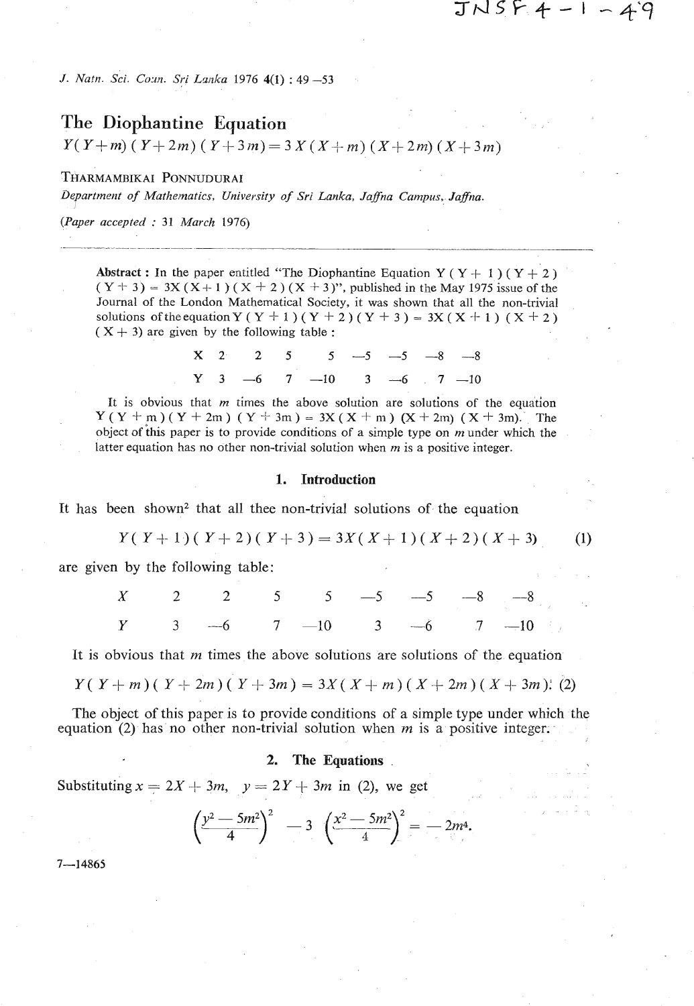$JNSFA-I-49$ 

 $(1)$ 

*J. Natn. Sci. Coun. Sri Lanka* 1976 4(1) : 49 -53

# **The Diophantine Equation**

 $Y(Y+m)$  ( $Y+2m$ ) ( $Y+3m$ ) = 3  $X(X+m)$  ( $X+2m$ ) ( $X+3m$ )

THARMAMBIKAI PONNUDURAI

*Uepartmeilt* **of** *Mathematics, University* **of** *Sri Lanka, Jafna Cumpus, Jafna.* 

*(Paper accepted* : <sup>31</sup>*March* 1976)

**Abstract :** In the paper entitled "The Diophantine Equation  $Y(Y + 1)(Y + 2)$  $(Y + 3) = 3X(X + 1)(X + 2)(X + 3)$ ", published in the May 1975 issue of the Journal of the London Mathematical Society, it was shown that **all** the non-trivial solutions of the equation Y (Y + 1)(Y + 2)(Y + 3) =  $3X(X + 1)$  (X + 2)  $(X + 3)$  are given by the following table :

|  |  | $X$ 2 2 5 5 -5 -5 -8 -8     |  |  |
|--|--|-----------------------------|--|--|
|  |  | $Y = 3$ -6 7 -10 3 -6 7 -10 |  |  |

It is obvious that  $m$  times the above solution are solutions of the equation  $Y(Y + m)(Y + 2m)(Y + 3m) = 3X(X + m)(X + 2m)(X + 3m)$ . The object of **his** paper is to provide conditions of a simple type on m under which the latter equation has no other non-trivial solution when **m** is a positive integer.

### **1. Introduction**

It has been shown2 that all thee non-trivial solutions of the equation

 $Y(Y+1)(Y+2)(Y+3) = 3X(X+1)(X+2)(X+3)$ 

are given by the following table:

|  |  |  |  | $X$ 2 2 5 5 -5 -5 -8 -8   |
|--|--|--|--|---------------------------|
|  |  |  |  | $Y$ 3 -6 7 -10 3 -6 7 -10 |

It is obvious that *m* times the above solutions are solutions of the. equation

$$
Y(Y + m)(Y + 2m)(Y + 3m) = 3X(X + m)(X + 2m)(X + 3m).
$$
 (2)

The object of this paper is to provide conditions of a simple type under which the equation (2) has no other non-trivial solution when  $m$  is a positive integer.

## **2.** The Equations .

Substituting  $x = 2X + 3m$ ,  $y = 2Y + 3m$  in (2), we get

$$
\left(\frac{y^2-5m^2}{4}\right)^2 - 3\left(\frac{x^2-5m^2}{4}\right)^2 = -2m^4.
$$

 $7 - 14865$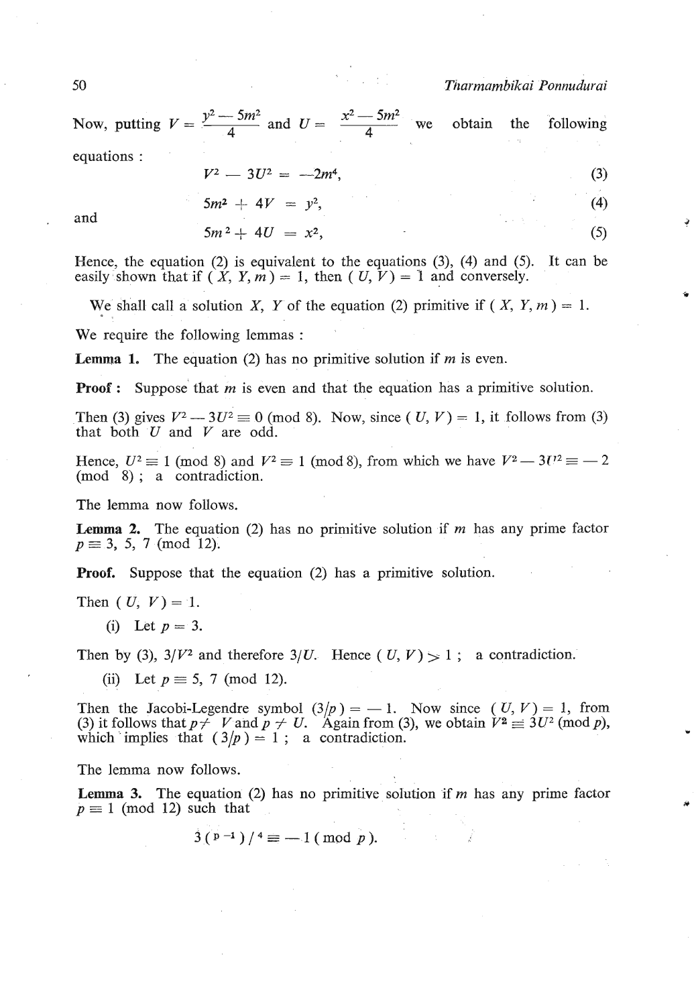# 50 *Tt~armambikai Ponnudurai*

Now, putting  $V = \frac{y^2 - 5m^2}{4}$  and  $U = \frac{x^2 - 5m^2}{4}$  we obtain the following equations :  $V^2 - 3U^2 = -2m^4,$  (3)

$$
V^2 - 3U^2 = -2m^4,\tag{3}
$$

$$
5m^2 + 4V = y^2, \tag{4}
$$

$$
5m^2 + 4U = x^2, \tag{5}
$$

Hence, the equation  $(2)$  is equivalent to the equations  $(3)$ ,  $(4)$  and  $(5)$ . It can be easily shown that if  $(X, Y, m) = 1$ , then  $(U, V) = 1$  and conversely.

We shall call a solution X, Y of the equation (2) primitive if  $(X, Y, m) = 1$ .

We require the following lemmas :

**Lemma 1.** The equation (2) has no primitive solution if  $m$  is even.

**Proof :** Suppose that *m* is even and that the equation has a primitive solution.<br>Then (3) gives  $V^2 - 3U^2 \equiv 0 \pmod{8}$ . Now, since  $(U, V) = 1$ , it follows from (3) that both *U* and V are odd. Then (3) gives  $V^2 - 3U^2 \equiv 0 \pmod{8}$ . Now, since  $(U, V) = 1$ , it follows from (3) that both U and V are odd.<br>Hence,  $U^2 \equiv 1 \pmod{8}$  and  $V^2 \equiv 1 \pmod{8}$ , from which we have  $V^2 - 3U^2 \equiv -2$ 

(mod 8) ; a contradiction.

The lemma now follows.

**Lemma 2.** The equation (2) has no primitive solution if *m* has any prime factor  $p \equiv 3, 5, 7 \pmod{12}$ .

**Proof.** Suppose that the equation (2) has a primitive solution.

Then  $(U, V) = 1$ .

(i) Let  $p = 3$ .

Then by (3),  $3/V^2$  and therefore  $3/U$ . Hence (U, V) > 1; a contradiction.

(ii) Let  $p \equiv 5, 7 \pmod{12}$ .

Then the Jacobi-Legendre symbol  $(3/p) = -1$ . Now since  $(U, V) = 1$ , from Then the Jacobi-Legendre symbol  $(3/p) = -1$ . Now since  $(U, V) = 1$ , from (3) it follows that  $p \neq V$  and  $p \neq U$ . Again from (3), we obtain  $V^2 \equiv 3U^2 \pmod{p}$ , (3) it follows that  $p \neq V$  and  $p \neq U$ . Again from (3) which implies that  $(3/p) = 1$ ; a contradiction.

The lemma now follows.

**Lemma 3.** The equation (2) has no primitive solution if  $m$  has any prime factor  $p \equiv 1 \pmod{12}$  such that

$$
3(p-1)/4 \equiv -1 \pmod{p}.
$$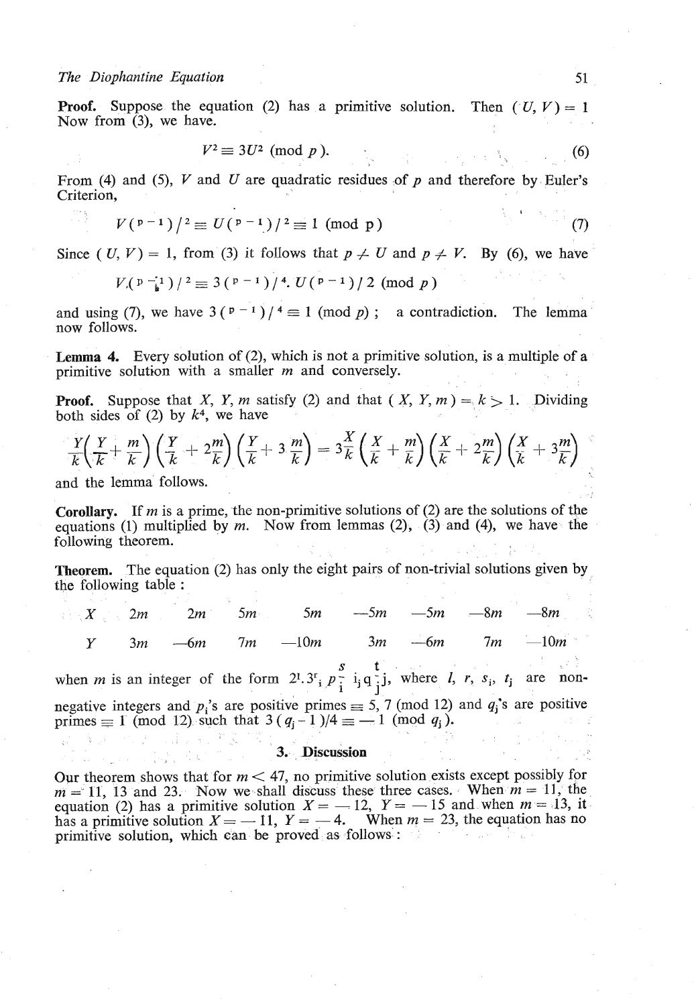# *The Diophantine Equation* 51

# **Proof.** Suppose the equation (2) has a primitive solution. Then  $(U, V) = 1$ Now from (3), we have.

$$
V^2 \equiv 3U^2 \pmod{p}.
$$
 (6)

From (4) and (5), V and **U** are quadratic residues of p and therefore by Euler's Criterion,

$$
V({p-1})/^{2} \equiv U({p-1})/^{2} \equiv 1 \pmod{p}
$$
 (7)

Since (  $U, V$ ) = 1, from (3) it follows that  $p \neq U$  and  $p \neq V$ . By (6), we have

$$
V_p(\mathbf{p}^{-1})/2 \equiv 3(\mathbf{p}^{-1})/4. U(\mathbf{p}^{-1})/2 \pmod{p}
$$

and using (7), we have  $3(p-1)/4 \equiv 1 \pmod{p}$ ; a contradiction. The lemma now follows.

**Lemma 4.** Every solution of (2), which is not a primitive solution, is a multiple of a primitive solution with a smaller **m** and conversely.

**Proof.** Suppose that *X*, *Y*, *m* satisfy (2) and that (*X*, *Y*, *m*) =  $k > 1$ . Dividing both sides of (2) by  $k^4$ , we have

$$
\frac{Y}{k} \left( \frac{Y}{k} + \frac{m}{k} \right) \left( \frac{Y}{k} + 2\frac{m}{k} \right) \left( \frac{Y}{k} + 3\frac{m}{k} \right) = 3\frac{X}{k} \left( \frac{X}{k} + \frac{m}{k} \right) \left( \frac{X}{k} + 2\frac{m}{k} \right) \left( \frac{X}{k} + 3\frac{m}{k} \right)
$$
\nand the lemma follows.

and the lemma follow

**Corollary.** If **m** is a prime, the non-primitive solutions of (2) are the solutions of the equations (1) multiplied by **m.** Now from lemmas (2), (3) and (4), we have the following theorem.

**Theorem.** The equation (2) has only the eight pairs of non-trivial solutions given by the following table :

|  |  |  |  | $1 \times 2m$ 2m 5m 5m $-5m$ $-5m$ $-8m$ $-8m$    |
|--|--|--|--|---------------------------------------------------|
|  |  |  |  | $Y = 3m$ $-6m$ $7m$ $-10m$ $3m$ $-6m$ $7m$ $-10m$ |

when *m* is an integer of the form  $2^1 \cdot 3^r$ ,  $p_i^s$  **i**,  $q_j^t$ , where *l, r, s<sub>i</sub>, t<sub>j</sub> are non*negative integers and  $p_i$ 's are positive primes  $\equiv$  5, 7 (mod 12) and  $q_i$ 's are positive primes  $\equiv 1 \pmod{12}$  such that  $3 (q_i - 1)/4 \equiv -1 \pmod{q_i}$ .

## **3. Discussion**

Our theorem shows that for  $m < 47$ , no primitive solution exists except possibly for  $m = 11, 13$  and 23. Now we shall discuss these three cases. When  $m = 11$ , the Our theorem shows that for  $m < 47$ , no primitive solution exists except possibly for  $m = 11$ , 13 and 23. Now we shall discuss these three cases. When  $m = 11$ , the equation (2) has a primitive solution  $X = -12$ ,  $Y = -15$  and  $m = 11$ , 13 and 23. Now we shall discuss these three cases. When  $m = 11$ , the equation (2) has a primitive solution  $X = -12$ ,  $Y = -15$  and when  $m = 13$ , it has a primitive solution  $X = -11$ ,  $Y = -4$ . When  $m = 23$ , the equatio primitive solution, which can be proved as follows :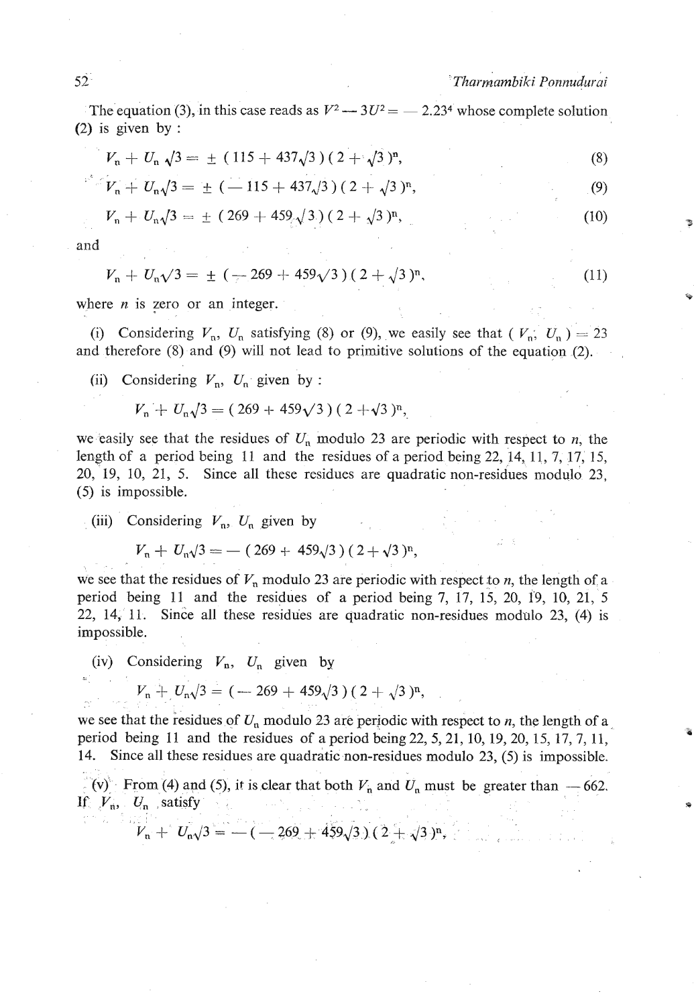$52$ <br>The equation (3), in this case reads as  $V^2 - 3U^2 = -2.23^4$  whose complete solution (2) is given by :

$$
V_n + U_n \sqrt{3} = \pm (115 + 437\sqrt{3})(2 + \sqrt{3})^n, \tag{8}
$$

$$
V_n + U_n \sqrt{3} = \pm (-115 + 437\sqrt{3})(2 + \sqrt{3})^n, \tag{9}
$$

$$
V_n + U_n \sqrt{3} = \pm (269 + 459 \sqrt{3}) (2 + \sqrt{3})^n,
$$
 (10)

and

$$
V_n + U_n \sqrt{3} = \pm \left( -269 + 459\sqrt{3} \right) (2 + \sqrt{3})^n, \tag{11}
$$

where  $n$  is zero or an integer.

(i) Considering  $V_n$ ,  $U_n$  satisfying (8) or (9), we easily see that  $(V_n, U_n) = 23$ and therefore (8) and (9) will not lead to primitive solutions of the equation *(2).* 

(ii) Considering  $V_n$ ,  $U_n$  given by :

$$
V_n + U_n/3 = (269 + 459\sqrt{3})(2 + \sqrt{3})^n
$$

we easily see that the residues of  $U_n$  modulo 23 are periodic with respect to  $n$ , the length of a period being *11* and the residues of a period being *22, 14, 11, 7, 17, 15, 20, 19, 10, 21, 5.* Since all these residues are quadratic non-residues modulo *23, (5)* is impossible.

(iii) Considering 
$$
V_n
$$
,  $U_n$  given by  

$$
V_n + U_n \sqrt{3} = -(269 + 459\sqrt{3})(2 + \sqrt{3})^n,
$$

we see that the residues of  $V_n$  modulo 23 are periodic with respect to  $n$ , the length of a period being *11* and the residues of a period being **7,** *17, 15, 20, 19, 10, 21, 5 22, 14, 11.* Since all these residues are quadratic non-residues modulo *23, (4)* is impossible.

(iv) Considering  $V_n$ ,  $U_n$  given by

$$
V_{\rm n} + U_{\rm n} \sqrt{3} = (-269 + 459\sqrt{3}) (2 + \sqrt{3})^{\rm n},
$$

we see that the residues of  $U_n$  modulo 23 are periodic with respect to *n*, the length of a. period being *11* and the residues of a period being *22,5,21,10, 19,20,15, 17,7, 11, 14.* Since all these residues are quadratic non-residues modulo *23, (5)* is impossible.  $V_n$  (v) From (4) and (5), it is clear that both  $V_n$  and  $U_n$  must be greater than  $-662$ .

If  $V_n$ ,  $U_n$  satisfy

 $V_n + U_n/3 = -(-269 + 459\sqrt{3})(2 + \sqrt{3})^n$